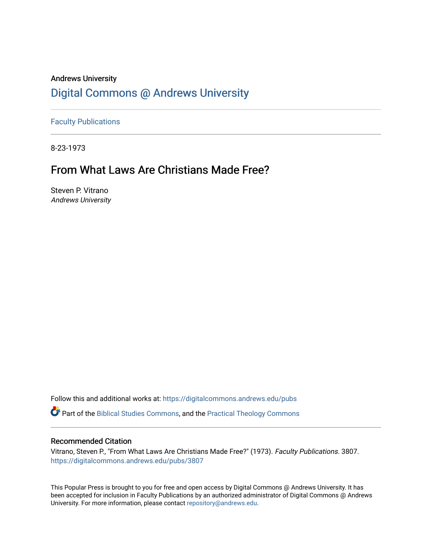## Andrews University [Digital Commons @ Andrews University](https://digitalcommons.andrews.edu/)

[Faculty Publications](https://digitalcommons.andrews.edu/pubs)

8-23-1973

## From What Laws Are Christians Made Free?

Steven P. Vitrano Andrews University

Follow this and additional works at: [https://digitalcommons.andrews.edu/pubs](https://digitalcommons.andrews.edu/pubs?utm_source=digitalcommons.andrews.edu%2Fpubs%2F3807&utm_medium=PDF&utm_campaign=PDFCoverPages) 

Part of the [Biblical Studies Commons,](http://network.bepress.com/hgg/discipline/539?utm_source=digitalcommons.andrews.edu%2Fpubs%2F3807&utm_medium=PDF&utm_campaign=PDFCoverPages) and the [Practical Theology Commons](http://network.bepress.com/hgg/discipline/1186?utm_source=digitalcommons.andrews.edu%2Fpubs%2F3807&utm_medium=PDF&utm_campaign=PDFCoverPages) 

### Recommended Citation

Vitrano, Steven P., "From What Laws Are Christians Made Free?" (1973). Faculty Publications. 3807. [https://digitalcommons.andrews.edu/pubs/3807](https://digitalcommons.andrews.edu/pubs/3807?utm_source=digitalcommons.andrews.edu%2Fpubs%2F3807&utm_medium=PDF&utm_campaign=PDFCoverPages) 

This Popular Press is brought to you for free and open access by Digital Commons @ Andrews University. It has been accepted for inclusion in Faculty Publications by an authorized administrator of Digital Commons @ Andrews University. For more information, please contact [repository@andrews.edu](mailto:repository@andrews.edu).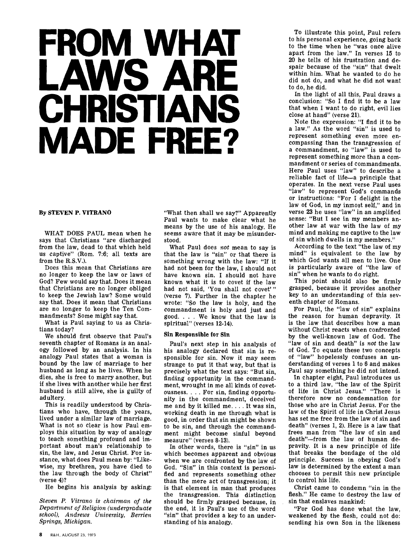# **FROM WHAT LAWS ARE CHRISTIANS MADE FREE?**

### **By STEVEN P. VITRANO**

WHAT DOES PAUL mean when he says that Christians "are discharged from the law, dead to that which held us captive" (Rom. 7:6; all texts are from the R.S.V.).

Does this mean that Christians are no longer to keep the law or laws of God? Few would say that. Does it mean that Christians are no longer obliged to keep the Jewish law? Some would say that. Does it mean that Christians are no longer to keep the Ten Commandments? Some might say that.

What is Paul saying to us as Christians today?

We should first observe that Paul's seventh chapter of Romans is an analogy followed by an analysis. In his analogy Paul states that a woman is bound by the law of marriage to her husband as long as he lives. When he dies, she is free to marry another, but if she lives with another while her first husband is still alive, she is guilty of adultery.

This is readily understood by Christians who have, through the years, lived under a similar law of marriage. What is not so clear is how Paul employs this situation by way of analogy to teach something profound and important about man's relationship to sin, the law, and Jesus Christ. For instance, what does Paul mean by: "Likewise, my brethren, you have died to the law through the body of Christ" (verse 4)?

He begins his analysis by asking:

*Steven P. Vitrano is chairman of the Department of Religion (undergraduate school), Andrews University, Berrien Springs, Michigan.* 

"What then shall we say?" Apparently Paul wants to make clear what he means by the use of his analogy. He seems aware that it may be misunderstood.

What Paul does *not* mean to say is that the law is "sin" or that there is something wrong with the law: "If it had not been for the law, I should not have known sin. I should not have known what it is to covet if the law had not said, 'You shall not covet'" (verse 7). Further in the chapter he wrote: "So the law is holy, and the commandment is holy and just and good. . . . We know that the law is spiritual" (verses **12-14).** 

#### **Sin Responsible for Sin**

Paul's next step in his analysis of his analogy declared that sin is responsible for sin. Now it may seem strange to put it that way, but that is precisely what the text says: "But sin, finding opportunity in the commandment, wrought in me all kinds of covetousness. . . . For sin, finding opportunity in the commandment, deceived me and by it killed me. . . . It was sin, working death in me through what is good, in order that sin might be shown to be sin, and through the commandment might become sinful beyond measure" (verses 8-13).

In other words, there is "sin" in us which becomes apparent and obvious when we are confronted by the law of God. "Sin" in this context is personified and represents something other than the mere act of transgression; it is that element in man that produces the transgression. This distinction should be firmly grasped because, in the end, it is Paul's use of the word "sin" that provides a key to an understanding of his analogy.

To illustrate this point, Paul refers to his personal experience, going back to the time when he "was once alive apart from the law." In verses 15 to 20 he tells of his frustration and despair because of the "sin" that dwelt within him. What he wanted to do he did not do, and what he did not want to do, he did.

In the light of all this, Paul draws a conclusion: "So I find it to be a law that when I want to do right, evil lies close at hand" (verse 21).

Note the expression: "I find it to be a law." As the word "sin" is used to represent something even more encompassing than the transgression of a commandment, so "law" is used to represent something more than a commandment or series of commandments. Here Paul uses "law" to describe a reliable fact of life—a principle that operates. In the next verse Paul uses "law" to represent God's commands or instructions: "For I delight in the law of God, in my inmost self," and in verse 23 he uses "law" in an amplified sense: "But I see in my members another law at war with the law of my mind and making me captive to the law of sin which dwells in my members."

According to the text "the law of my mind" is equivalent to the law by which God wants all men to live. One is particularly aware of "the law of sin" when he wants to do right.

This point should also be firmly grasped, because it provides another key to an understanding of this seventh chapter of Romans.

For Paul, the "law of sin" explains the reason for human depravity. It is the law that describes how a man without Christ reacts when confronted by the well-known law of God. The "law of sin and death" is *not* the law of God. To equate these two concepts of "law" hopelessly confuses an understanding of verses 1 to 6 and makes Paul say something he did not intend.

In chapter eight, Paul introduces us to a third law, "the law of the Spirit of life in Christ Jesus." "There is therefore now no condemnation for those who are in Christ Jesus. For the law of the Spirit of life in Christ Jesus has set me free from the law of sin and death" (verses 1, 2). Here is a law that frees man from "the law of sin and death"—from the law of human depravity. It is a new principle of life that breaks the bondage of the old principle. Success in obeying God's law is determined by the extent a man chooses to permit this new principle to control his life.

Christ came to condemn "sin in the flesh." He came to destroy the law of sin that enslaves mankind:

"For God has done what the law, weakened by the flesh, could not do: sending his own Son in the likeness